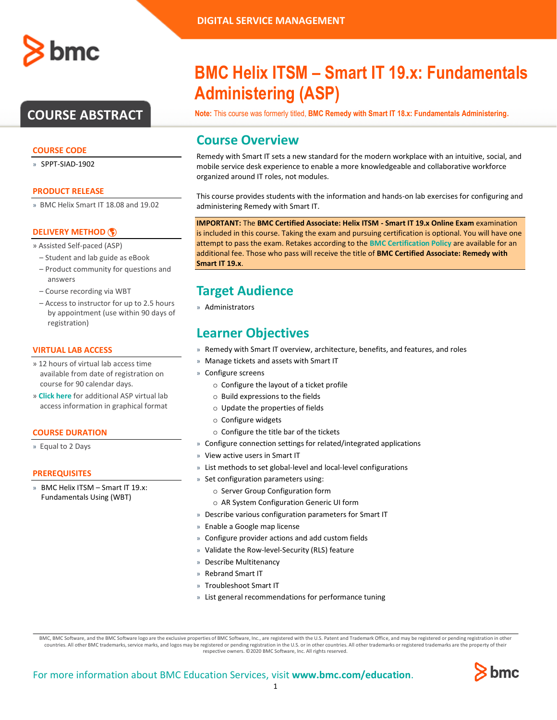

## **COURSE ABSTRACT**

#### **COURSE CODE**

» SPPT-SIAD-1902

#### **PRODUCT RELEASE**

» BMC Helix Smart IT 18.08 and 19.02

#### **DELIVERY METHOD**

- » Assisted Self-paced (ASP)
	- Student and lab guide as eBook
- Product community for questions and answers
- Course recording via WBT
- Access to instructor for up to 2.5 hours by appointment (use within 90 days of registration)

#### **VIRTUAL LAB ACCESS**

- » 12 hours of virtual lab access time available from date of registration on course for 90 calendar days.
- » **[Click here](http://documents.bmc.com/products/documents/37/48/493748/493748.pdf)** for additional ASP virtual lab access information in graphical format

#### **COURSE DURATION**

» Equal to 2 Days

#### **PREREQUISITES**

» BMC Helix ITSM – Smart IT 19.x: Fundamentals Using (WBT)

## **BMC Helix ITSM – Smart IT 19.x: Fundamentals Administering (ASP)**

**Note:** This course was formerly titled, **BMC Remedy with Smart IT 18.x: Fundamentals Administering.**

### **Course Overview**

Remedy with Smart IT sets a new standard for the modern workplace with an intuitive, social, and mobile service desk experience to enable a more knowledgeable and collaborative workforce organized around IT roles, not modules.

This course provides students with the information and hands-on lab exercises for configuring and administering Remedy with Smart IT.

**IMPORTANT:** The **BMC Certified Associate: Helix ITSM - Smart IT 19.x Online Exam** examination is included in this course. Taking the exam and pursuing certification is optional. You will have one attempt to pass the exam. Retakes according to the **[BMC Certification Policy](https://www.bmc.com/content/dam/bmc/education/BMC_Education_Certification_Policy.pdf)** are available for an additional fee. Those who pass will receive the title of **BMC Certified Associate: Remedy with Smart IT 19.x**.

## **Target Audience**

» Administrators

### **Learner Objectives**

- » Remedy with Smart IT overview, architecture, benefits, and features, and roles
- » Manage tickets and assets with Smart IT
- » Configure screens
	- o Configure the layout of a ticket profile
	- o Build expressions to the fields
	- o Update the properties of fields
	- o Configure widgets
	- o Configure the title bar of the tickets
- » Configure connection settings for related/integrated applications
- » View active users in Smart IT
- » List methods to set global-level and local-level configurations
- » Set configuration parameters using:
	- o Server Group Configuration form
	- o AR System Configuration Generic UI form
- » Describe various configuration parameters for Smart IT
- » Enable a Google map license
- » Configure provider actions and add custom fields
- » Validate the Row-level-Security (RLS) feature
- » Describe Multitenancy
- » Rebrand Smart IT
- » Troubleshoot Smart IT
- » List general recommendations for performance tuning

BMC, BMC Software, and the BMC Software logo are the exclusive properties of BMC Software, Inc., are registered with the U.S. Patent and Trademark Office, and may be registered or pending registration in other countries. All other BMC trademarks, service marks, and logos may be registered or pending registration in the U.S. or in other countries. All other trademarks or registered trademarks are the property of their respective owners. ©2020 BMC Software, Inc. All rights reserved.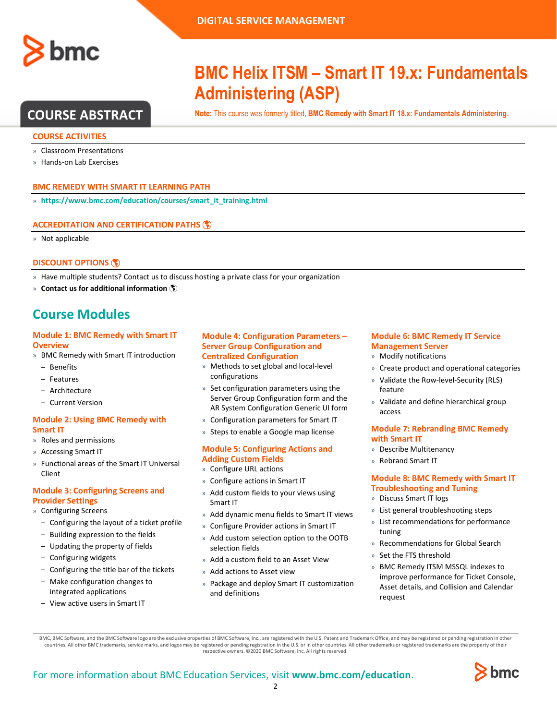

## **COURSE ABSTRACT**

#### **COURSE ACTIVITIES**

» Classroom Presentations

» Hands-on Lab Exercises

#### **BMC REMEDY WITH SMART IT LEARNING PATH**

» **[https://www.bmc.com/education/courses/smart\\_it\\_training.html](https://www.bmc.com/education/courses/smart_it_training.html)**

#### **ACCREDITATION AN[D CERTIFICATION PATHS](http://www.bmc.com/education/certification-programs)**

» Not applicable

#### **[DISCOUNT OPTIONS](http://www.bmc.com/education/customer-service/customer-service.html)**

- » Have multiple students? Contact us to discuss hosting a private class for your organization
- » **[Contact us for additional information](http://www.bmc.com/education)**

## **Course Modules**

#### **Module 1: BMC Remedy with Smart IT Overview**

- » BMC Remedy with Smart IT introduction
	- Benefits
	- Features
	- Architecture
	- Current Version

#### **Module 2: Using BMC Remedy with Smart IT**

- » Roles and permissions
- » Accessing Smart IT
- » Functional areas of the Smart IT Universal Client

#### **Module 3: Configuring Screens and Provider Settings**

- » Configuring Screens
	- Configuring the layout of a ticket profile
	- Building expression to the fields
	- Updating the property of fields
	- Configuring widgets
	- Configuring the title bar of the tickets
	- Make configuration changes to integrated applications
	- View active users in Smart IT

#### **Module 4: Configuration Parameters – Server Group Configuration and Centralized Configuration**

- » Methods to set global and local-level configurations
- » Set configuration parameters using the Server Group Configuration form and the AR System Configuration Generic UI form
- » Configuration parameters for Smart IT
- » Steps to enable a Google map license

#### **Module 5: Configuring Actions and Adding Custom Fields**

- » Configure URL actions
- » Configure actions in Smart IT
- » Add custom fields to your views using Smart IT
- » Add dynamic menu fields to Smart IT views
- » Configure Provider actions in Smart IT
- » Add custom selection option to the OOTB selection fields
- » Add a custom field to an Asset View
- » Add actions to Asset view
- » Package and deploy Smart IT customization and definitions

#### **Module 6: BMC Remedy IT Service Management Server**

- » Modify notifications
- » Create product and operational categories
- » Validate the Row-level-Security (RLS) feature
- » Validate and define hierarchical group access

#### **Module 7: Rebranding BMC Remedy with Smart IT**

- » Describe Multitenancy
- » Rebrand Smart IT

#### **Module 8: BMC Remedy with Smart IT Troubleshooting and Tuning**

- » Discuss Smart IT logs
- » List general troubleshooting steps
- » List recommendations for performance tuning
- » Recommendations for Global Search
- » Set the FTS threshold
- » BMC Remedy ITSM MSSQL indexes to improve performance for Ticket Console, Asset details, and Collision and Calendar request

BMC, BMC Software, and the BMC Software logo are the exclusive properties of BMC Software, Inc., are registered with the U.S. Patent and Trademark Office, and may be registered or pending registration in other countries. All other BMC trademarks, service marks, and logos may be registered or pending registration in the U.S. or in other countries. All other trademarks or registered trademarks are the property of their respective owners. ©2020 BMC Software, Inc. All rights reserved.

2



## **BMC Helix ITSM – Smart IT 19.x: Fundamentals Administering (ASP)**

**Note:** This course was formerly titled, **BMC Remedy with Smart IT 18.x: Fundamentals Administering.**